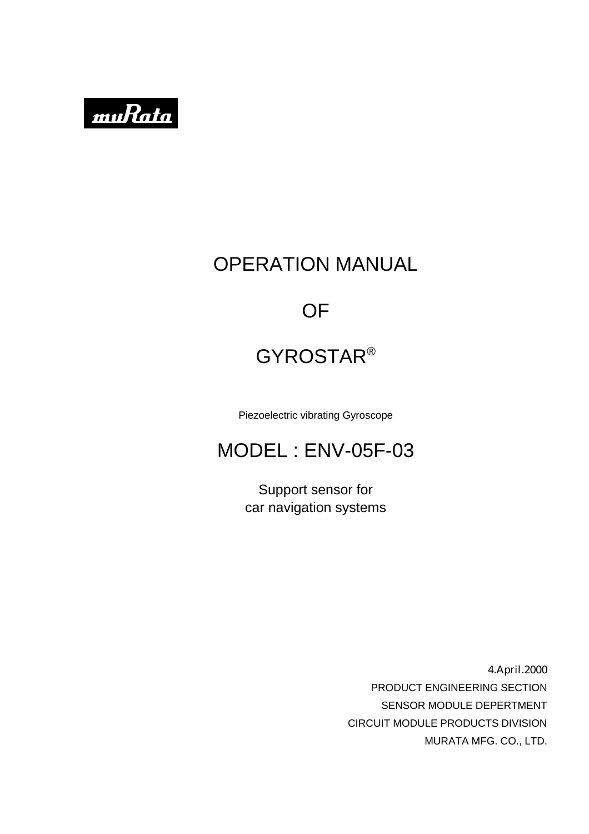

# OPERATION MANUAL

## **OF**

# GYROSTAR®

Piezoelectric vibrating Gyroscope

## MODEL : ENV-05F-03

Support sensor for car navigation systems

> 4.April.2000 PRODUCT ENGINEERING SECTION SENSOR MODULE DEPERTMENT CIRCUIT MODULE PRODUCTS DIVISION MURATA MFG. CO., LTD.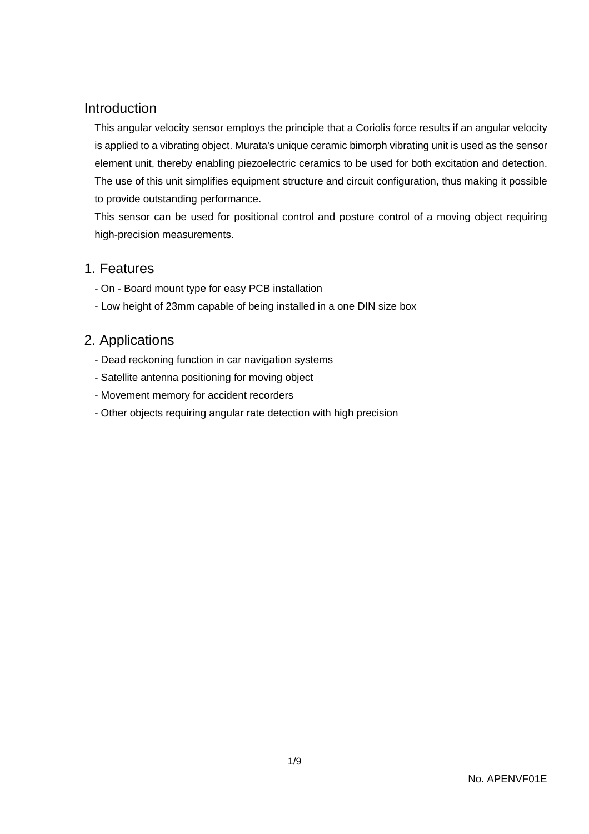#### Introduction

This angular velocity sensor employs the principle that a Coriolis force results if an angular velocity is applied to a vibrating object. Murata's unique ceramic bimorph vibrating unit is used as the sensor element unit, thereby enabling piezoelectric ceramics to be used for both excitation and detection. The use of this unit simplifies equipment structure and circuit configuration, thus making it possible to provide outstanding performance.

This sensor can be used for positional control and posture control of a moving object requiring high-precision measurements.

#### 1. Features

- On Board mount type for easy PCB installation
- Low height of 23mm capable of being installed in a one DIN size box

#### 2. Applications

- Dead reckoning function in car navigation systems
- Satellite antenna positioning for moving object
- Movement memory for accident recorders
- Other objects requiring angular rate detection with high precision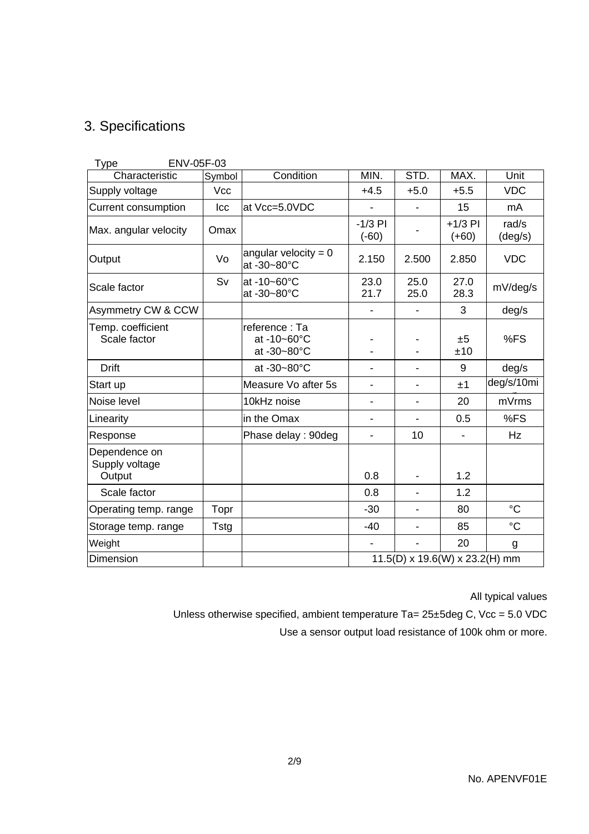## 3. Specifications

| ENV-05F-03<br>Type                        |        |                                             |                                |                          |                      |                  |  |
|-------------------------------------------|--------|---------------------------------------------|--------------------------------|--------------------------|----------------------|------------------|--|
| Characteristic                            | Symbol | Condition                                   | MIN.                           | STD.                     | MAX.                 | Unit             |  |
| Supply voltage                            | Vcc    |                                             | $+4.5$                         | $+5.0$                   | $+5.5$               | <b>VDC</b>       |  |
| <b>Current consumption</b>                | Icc    | at Vcc=5.0VDC                               |                                |                          | 15                   | mA               |  |
| Max. angular velocity                     | Omax   |                                             | $-1/3$ PI<br>$(-60)$           |                          | $+1/3$ PI<br>$(+60)$ | rad/s<br>(deg/s) |  |
| Output                                    | Vo     | angular velocity = $0$<br>at -30~80°C       | 2.150                          | 2.500                    | 2.850                | <b>VDC</b>       |  |
| Scale factor                              | Sv     | at -10~60°C<br>at -30~80°C                  | 23.0<br>21.7                   | 25.0<br>25.0             | 27.0<br>28.3         | mV/deg/s         |  |
| Asymmetry CW & CCW                        |        |                                             |                                |                          | 3                    | deg/s            |  |
| Temp. coefficient<br>Scale factor         |        | reference: Ta<br>at -10~60°C<br>at -30~80°C |                                |                          | ±5<br>±10            | %FS              |  |
| <b>Drift</b>                              |        | at -30~80°C                                 | $\overline{\phantom{a}}$       | $\overline{\phantom{0}}$ | 9                    | deg/s            |  |
| Start up                                  |        | Measure Vo after 5s                         | $\qquad \qquad \blacksquare$   | $\blacksquare$           | ±1                   | deg/s/10mi       |  |
| Noise level                               |        | 10kHz noise                                 | $\overline{\phantom{a}}$       | $\blacksquare$           | 20                   | mVrms            |  |
| Linearity                                 |        | in the Omax                                 | $\overline{\phantom{a}}$       |                          | 0.5                  | %FS              |  |
| Response                                  |        | Phase delay: 90deg                          | $\blacksquare$                 | 10                       | $\overline{a}$       | Hz               |  |
| Dependence on<br>Supply voltage<br>Output |        |                                             | 0.8                            |                          | 1.2                  |                  |  |
| Scale factor                              |        |                                             | 0.8                            |                          | 1.2                  |                  |  |
| Operating temp. range                     | Topr   |                                             | $-30$                          |                          | 80                   | $\rm ^{\circ}C$  |  |
| Storage temp. range                       | Tstg   |                                             | $-40$                          |                          | 85                   | $\rm ^{\circ}C$  |  |
| Weight                                    |        |                                             |                                |                          | 20                   | g                |  |
| Dimension                                 |        |                                             | 11.5(D) x 19.6(W) x 23.2(H) mm |                          |                      |                  |  |

All typical values

Unless otherwise specified, ambient temperature Ta= 25±5deg C, Vcc = 5.0 VDC Use a sensor output load resistance of 100k ohm or more.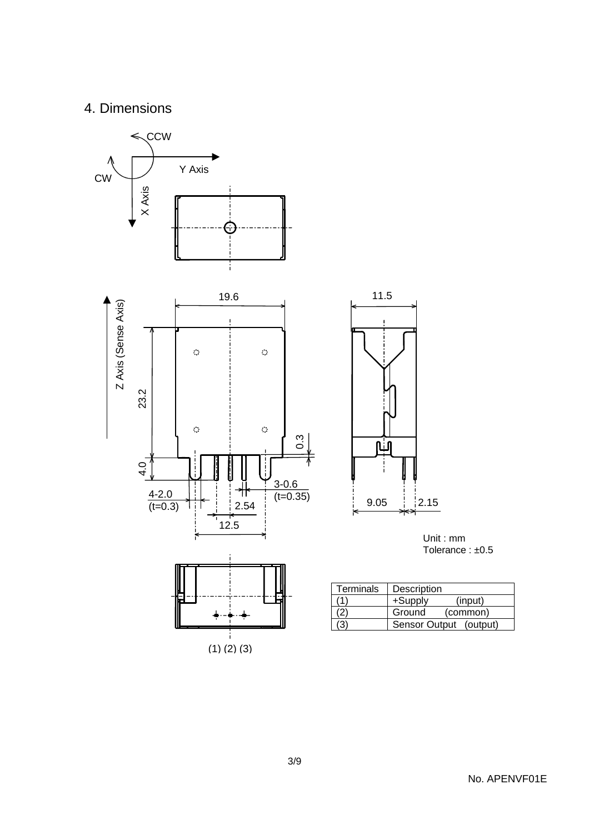### 4. Dimensions

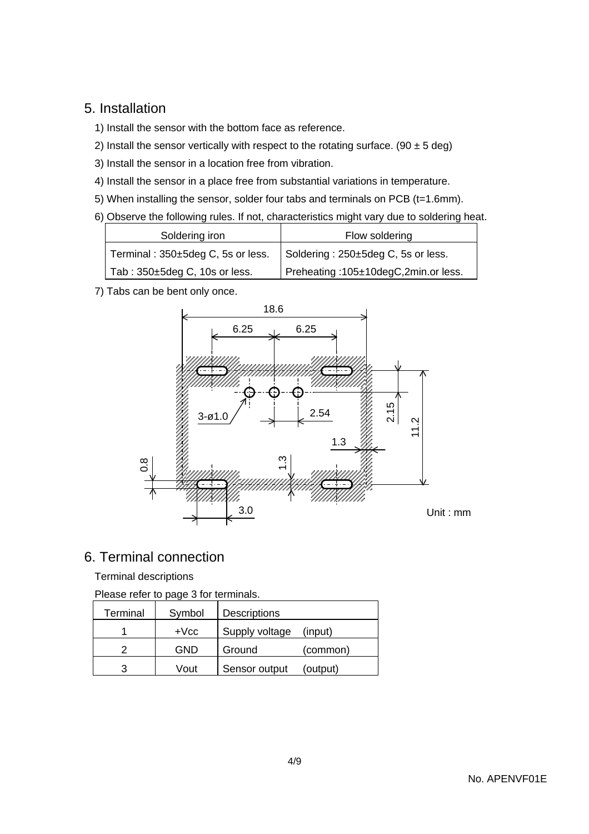#### 5. Installation

1) Install the sensor with the bottom face as reference.

- 2) Install the sensor vertically with respect to the rotating surface. (90  $\pm$  5 deg)
- 3) Install the sensor in a location free from vibration.
- 4) Install the sensor in a place free from substantial variations in temperature.
- 5) When installing the sensor, solder four tabs and terminals on PCB (t=1.6mm).
- 6) Observe the following rules. If not, characteristics might vary due to soldering heat.

| Soldering iron                    | Flow soldering                        |  |  |  |
|-----------------------------------|---------------------------------------|--|--|--|
| Terminal: 350±5deg C, 5s or less. | Soldering: 250±5deg C, 5s or less.    |  |  |  |
| Tab: 350±5deg C, 10s or less.     | Preheating: 105±10degC, 2min.or less. |  |  |  |

7) Tabs can be bent only once.



#### 6. Terminal connection

#### Terminal descriptions

Please refer to page 3 for terminals.

| Terminal | Symbol     | <b>Descriptions</b> |          |
|----------|------------|---------------------|----------|
|          | $+$ V $cc$ | Supply voltage      | (input)  |
| າ        | GND        | Ground              | (common) |
| 3        | Vout       | Sensor output       | (output) |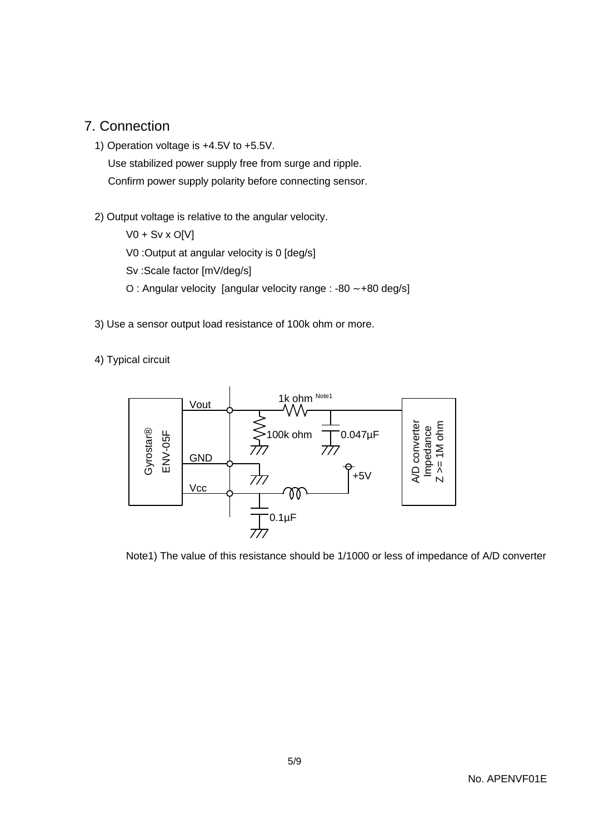#### 7. Connection

- 1) Operation voltage is +4.5V to +5.5V. Use stabilized power supply free from surge and ripple. Confirm power supply polarity before connecting sensor.
- 2) Output voltage is relative to the angular velocity.
	- $V0 + Sv \times O[V]$
	- V0 :Output at angular velocity is 0 [deg/s]
	- Sv :Scale factor [mV/deg/s]
	- O : Angular velocity [angular velocity range : -80 ∼ +80 deg/s]
- 3) Use a sensor output load resistance of 100k ohm or more.
- 4) Typical circuit

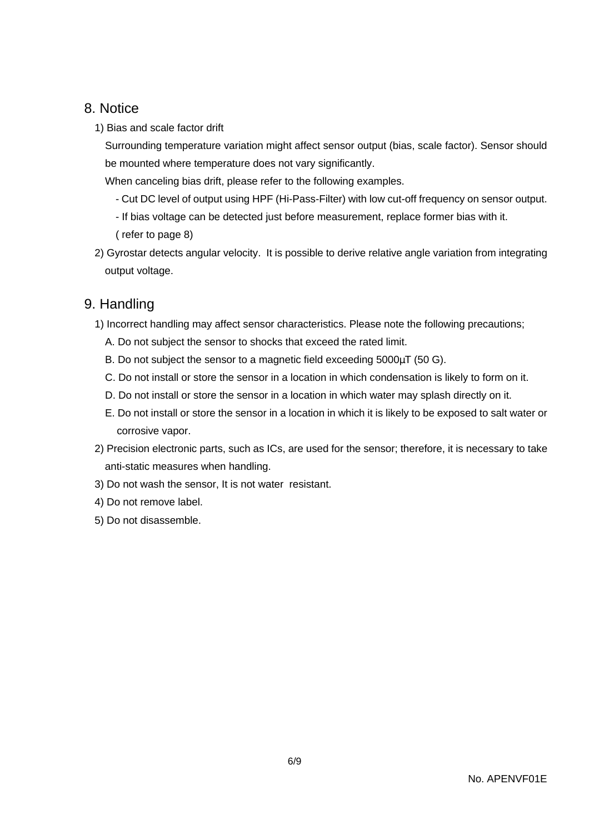#### 8. Notice

1) Bias and scale factor drift

Surrounding temperature variation might affect sensor output (bias, scale factor). Sensor should be mounted where temperature does not vary significantly.

When canceling bias drift, please refer to the following examples.

- Cut DC level of output using HPF (Hi-Pass-Filter) with low cut-off frequency on sensor output.
- If bias voltage can be detected just before measurement, replace former bias with it.
- ( refer to page 8)
- 2) Gyrostar detects angular velocity. It is possible to derive relative angle variation from integrating output voltage.

#### 9. Handling

- 1) Incorrect handling may affect sensor characteristics. Please note the following precautions;
	- A. Do not subject the sensor to shocks that exceed the rated limit.
	- B. Do not subject the sensor to a magnetic field exceeding 5000μT (50 G).
	- C. Do not install or store the sensor in a location in which condensation is likely to form on it.
	- D. Do not install or store the sensor in a location in which water may splash directly on it.
	- E. Do not install or store the sensor in a location in which it is likely to be exposed to salt water or corrosive vapor.
- 2) Precision electronic parts, such as ICs, are used for the sensor; therefore, it is necessary to take anti-static measures when handling.
- 3) Do not wash the sensor, It is not water resistant.
- 4) Do not remove label.
- 5) Do not disassemble.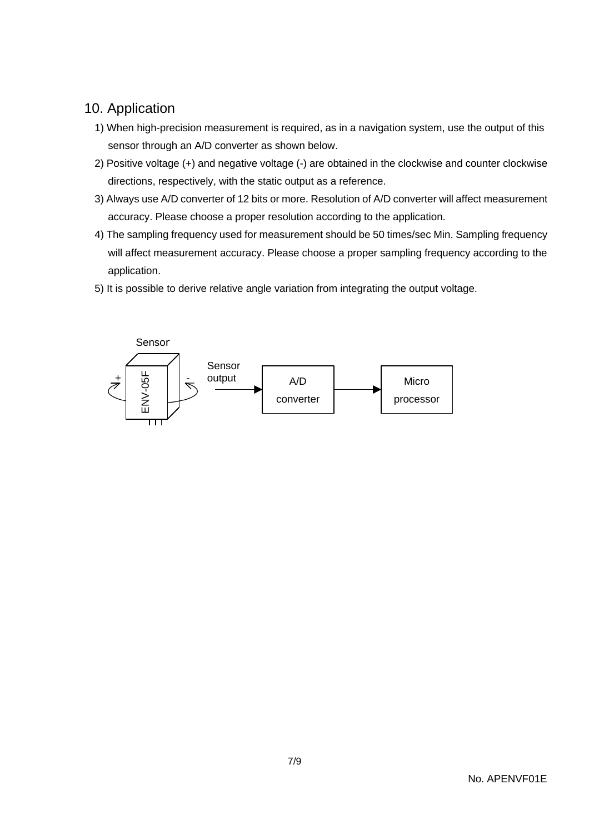#### 10. Application

- 1) When high-precision measurement is required, as in a navigation system, use the output of this sensor through an A/D converter as shown below.
- 2) Positive voltage (+) and negative voltage (-) are obtained in the clockwise and counter clockwise directions, respectively, with the static output as a reference.
- 3) Always use A/D converter of 12 bits or more. Resolution of A/D converter will affect measurement accuracy. Please choose a proper resolution according to the application.
- 4) The sampling frequency used for measurement should be 50 times/sec Min. Sampling frequency will affect measurement accuracy. Please choose a proper sampling frequency according to the application.
- 5) It is possible to derive relative angle variation from integrating the output voltage.

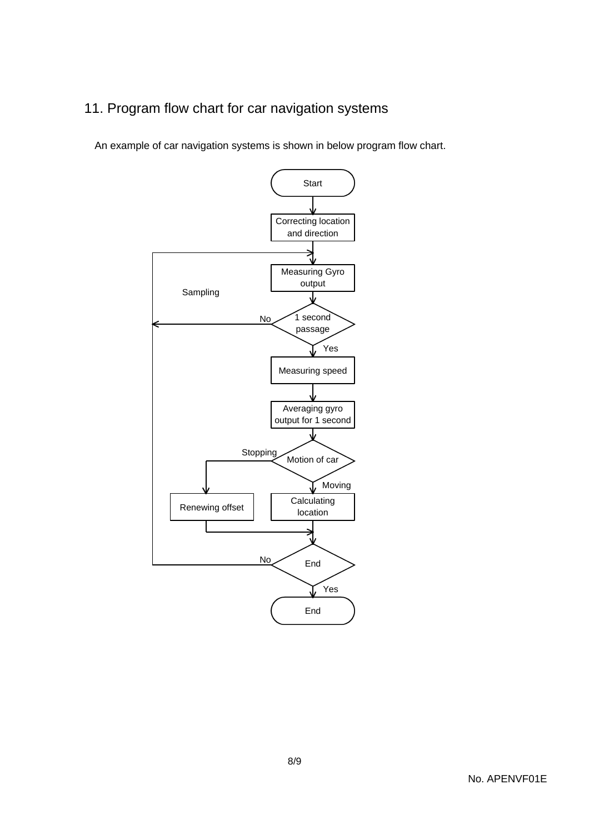## 11. Program flow chart for car navigation systems

An example of car navigation systems is shown in below program flow chart.